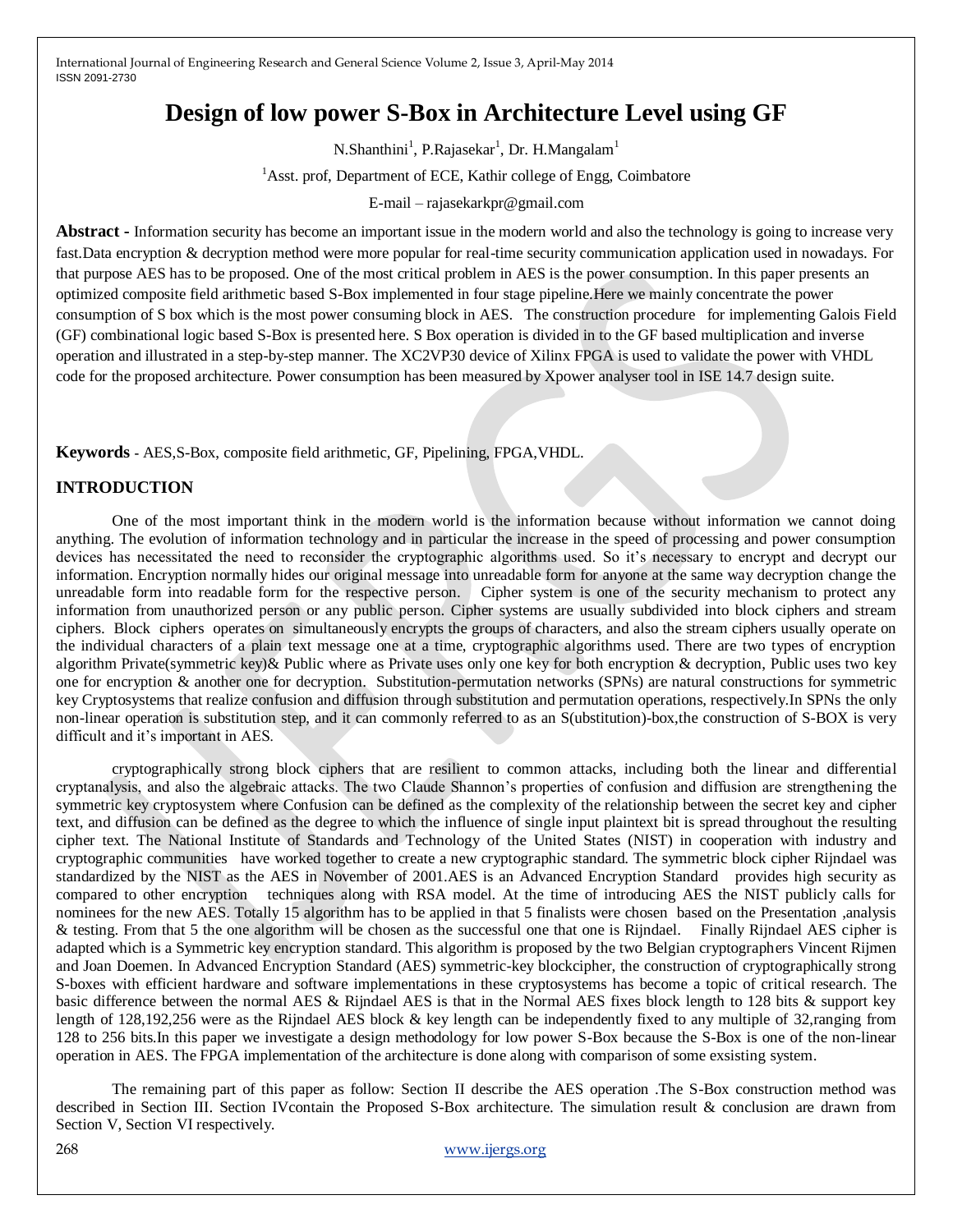# **Design of low power S-Box in Architecture Level using GF**

N.Shanthini<sup>1</sup>, P.Rajasekar<sup>1</sup>, Dr. H.Mangalam<sup>1</sup>

<sup>1</sup>Asst. prof, Department of ECE, Kathir college of Engg, Coimbatore

E-mail – rajasekarkpr@gmail.com

**Abstract -** Information security has become an important issue in the modern world and also the technology is going to increase very fast.Data encryption & decryption method were more popular for real-time security communication application used in nowadays. For that purpose AES has to be proposed. One of the most critical problem in AES is the power consumption. In this paper presents an optimized composite field arithmetic based S-Box implemented in four stage pipeline.Here we mainly concentrate the power consumption of S box which is the most power consuming block in AES. The construction procedure for implementing Galois Field (GF) combinational logic based S-Box is presented here. S Box operation is divided in to the GF based multiplication and inverse operation and illustrated in a step-by-step manner. The XC2VP30 device of Xilinx FPGA is used to validate the power with VHDL code for the proposed architecture. Power consumption has been measured by Xpower analyser tool in ISE 14.7 design suite.

**Keywords -** AES,S-Box, composite field arithmetic, GF, Pipelining, FPGA,VHDL.

# **INTRODUCTION**

One of the most important think in the modern world is the information because without information we cannot doing anything. The evolution of information technology and in particular the increase in the speed of processing and power consumption devices has necessitated the need to reconsider the cryptographic algorithms used. So it's necessary to encrypt and decrypt our information. Encryption normally hides our original message into unreadable form for anyone at the same way decryption change the unreadable form into readable form for the respective person. Cipher system is one of the security mechanism to protect any information from unauthorized person or any public person. Cipher systems are usually subdivided into block ciphers and stream ciphers. Block ciphers operates on simultaneously encrypts the groups of characters, and also the stream ciphers usually operate on the individual characters of a plain text message one at a time, cryptographic algorithms used. There are two types of encryption algorithm Private(symmetric key)& Public where as Private uses only one key for both encryption & decryption, Public uses two key one for encryption & another one for decryption. Substitution-permutation networks (SPNs) are natural constructions for symmetric key Cryptosystems that realize confusion and diffusion through substitution and permutation operations, respectively.In SPNs the only non-linear operation is substitution step, and it can commonly referred to as an S(ubstitution)-box,the construction of S-BOX is very difficult and it's important in AES.

cryptographically strong block ciphers that are resilient to common attacks, including both the linear and differential cryptanalysis, and also the algebraic attacks. The two Claude Shannon's properties of confusion and diffusion are strengthening the symmetric key cryptosystem where Confusion can be defined as the complexity of the relationship between the secret key and cipher text, and diffusion can be defined as the degree to which the influence of single input plaintext bit is spread throughout the resulting cipher text. The National Institute of Standards and Technology of the United States (NIST) in cooperation with industry and cryptographic communities have worked together to create a new cryptographic standard. The symmetric block cipher Rijndael was standardized by the NIST as the AES in November of 2001.AES is an Advanced Encryption Standard provides high security as compared to other encryption techniques along with RSA model. At the time of introducing AES the NIST publicly calls for nominees for the new AES. Totally 15 algorithm has to be applied in that 5 finalists were chosen based on the Presentation ,analysis & testing. From that 5 the one algorithm will be chosen as the successful one that one is Rijndael. Finally Rijndael AES cipher is adapted which is a Symmetric key encryption standard. This algorithm is proposed by the two Belgian cryptographers Vincent Rijmen and Joan Doemen. In Advanced Encryption Standard (AES) symmetric-key blockcipher, the construction of cryptographically strong S-boxes with efficient hardware and software implementations in these cryptosystems has become a topic of critical research. The basic difference between the normal AES & Rijndael AES is that in the Normal AES fixes block length to 128 bits & support key length of 128,192,256 were as the Rijndael AES block & key length can be independently fixed to any multiple of 32,ranging from 128 to 256 bits.In this paper we investigate a design methodology for low power S-Box because the S-Box is one of the non-linear operation in AES. The FPGA implementation of the architecture is done along with comparison of some exsisting system.

The remaining part of this paper as follow: Section II describe the AES operation .The S-Box construction method was described in Section III. Section IVcontain the Proposed S-Box architecture. The simulation result & conclusion are drawn from Section V, Section VI respectively.

268 [www.ijergs.org](http://www.ijergs.org/)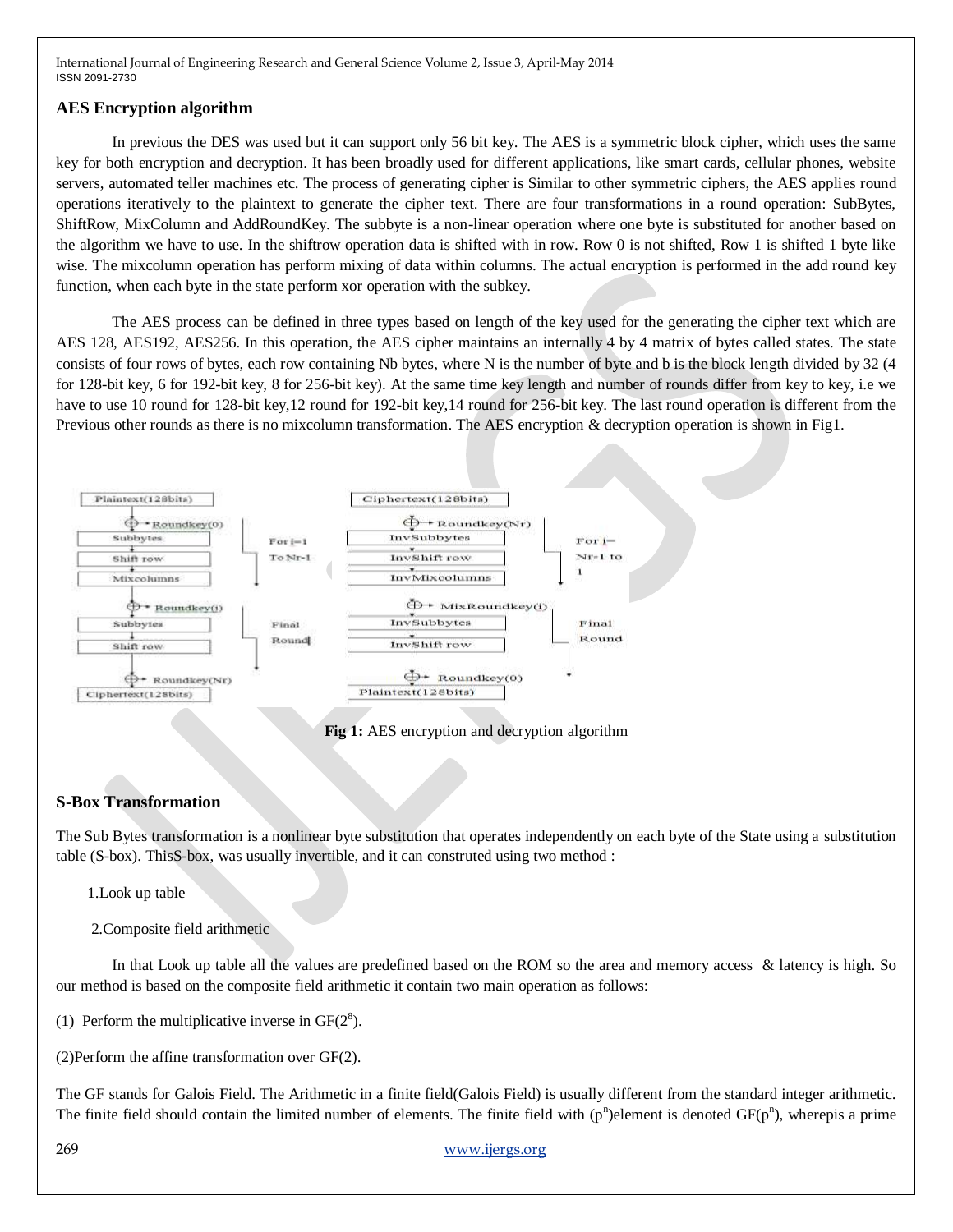### **AES Encryption algorithm**

In previous the DES was used but it can support only 56 bit key. The AES is a symmetric block cipher, which uses the same key for both encryption and decryption. It has been broadly used for different applications, like smart cards, cellular phones, website servers, automated teller machines etc. The process of generating cipher is Similar to other symmetric ciphers, the AES applies round operations iteratively to the plaintext to generate the cipher text. There are four transformations in a round operation: SubBytes, ShiftRow, MixColumn and AddRoundKey. The subbyte is a non-linear operation where one byte is substituted for another based on the algorithm we have to use. In the shiftrow operation data is shifted with in row. Row 0 is not shifted, Row 1 is shifted 1 byte like wise. The mixcolumn operation has perform mixing of data within columns. The actual encryption is performed in the add round key function, when each byte in the state perform xor operation with the subkey.

The AES process can be defined in three types based on length of the key used for the generating the cipher text which are AES 128, AES192, AES256. In this operation, the AES cipher maintains an internally 4 by 4 matrix of bytes called states. The state consists of four rows of bytes, each row containing Nb bytes, where N is the number of byte and b is the block length divided by 32 (4 for 128-bit key, 6 for 192-bit key, 8 for 256-bit key). At the same time key length and number of rounds differ from key to key, i.e we have to use 10 round for 128-bit key,12 round for 192-bit key,14 round for 256-bit key. The last round operation is different from the Previous other rounds as there is no mixcolumn transformation. The AES encryption & decryption operation is shown in Fig1.



**Fig 1:** AES encryption and decryption algorithm

#### **S-Box Transformation**

The Sub Bytes transformation is a nonlinear byte substitution that operates independently on each byte of the State using a substitution table (S-box). ThisS-box, was usually invertible, and it can construted using two method :

1.Look up table

2.Composite field arithmetic

In that Look up table all the values are predefined based on the ROM so the area and memory access & latency is high. So our method is based on the composite field arithmetic it contain two main operation as follows:

(1) Perform the multiplicative inverse in  $GF(2<sup>8</sup>)$ .

(2)Perform the affine transformation over GF(2).

The GF stands for Galois Field. The Arithmetic in a finite field(Galois Field) is usually different from the standard integer arithmetic. The finite field should contain the limited number of elements. The finite field with  $(p^n)$ element is denoted  $GF(p^n)$ , wherepis a prime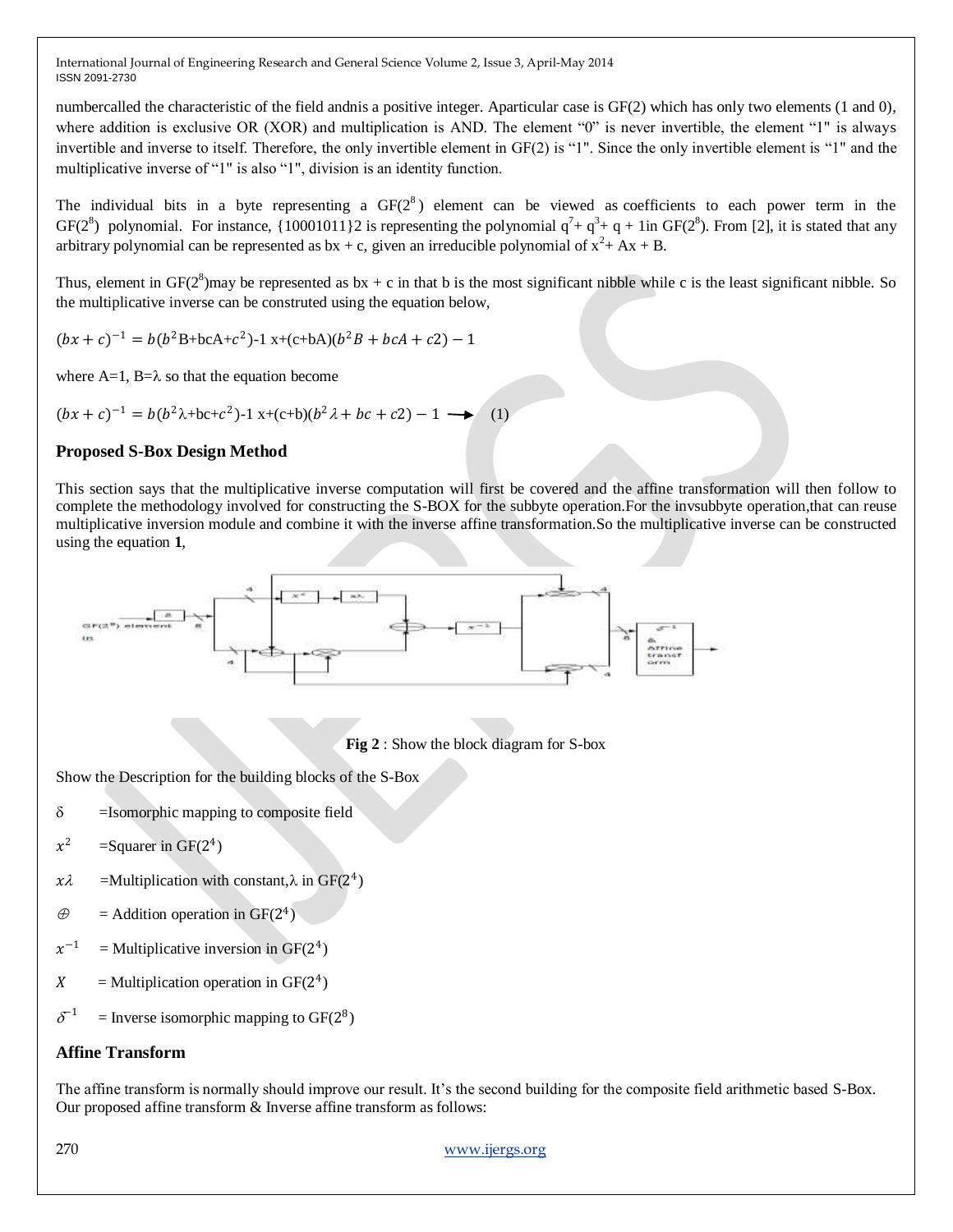numbercalled the characteristic of the field andnis a positive integer. Aparticular case is GF(2) which has only two elements (1 and 0), where addition is exclusive OR (XOR) and multiplication is AND. The element "0" is never invertible, the element "1" is always invertible and inverse to itself. Therefore, the only invertible element in GF(2) is "1". Since the only invertible element is "1" and the multiplicative inverse of "1" is also "1", division is an identity function.

The individual bits in a byte representing a  $GF(2^8)$  element can be viewed as coefficients to each power term in the GF( $2^8$ ) polynomial. For instance, {10001011}2 is representing the polynomial  $q^7 + q^3 + q + 1$ in GF( $2^8$ ). From [2], it is stated that any arbitrary polynomial can be represented as  $bx + c$ , given an irreducible polynomial of  $x^2 + Ax + B$ .

Thus, element in  $GF(2^8)$  may be represented as  $bx + c$  in that b is the most significant nibble while c is the least significant nibble. So the multiplicative inverse can be construted using the equation below,

 $(bx + c)^{-1} = b(b^2B + bcA + c^2) - 1$  x+(c+bA)( $b^2B + bcA + c2$ ) – 1

where  $A=1$ ,  $B=\lambda$  so that the equation become

 $(bx + c)^{-1} = b(b^2\lambda + bc + c^2) - 1$  x+(c+b)( $b^2\lambda + bc + c^2$ ) – 1  $\longrightarrow$  (1)

# **Proposed S-Box Design Method**

This section says that the multiplicative inverse computation will first be covered and the affine transformation will then follow to complete the methodology involved for constructing the S-BOX for the subbyte operation.For the invsubbyte operation,that can reuse multiplicative inversion module and combine it with the inverse affine transformation.So the multiplicative inverse can be constructed using the equation **1**,



**Fig 2** : Show the block diagram for S-box

Show the Description for the building blocks of the S-Box

- $\delta$  =Isomorphic mapping to composite field
- $x^2$  $=$ Squarer in GF(2<sup>4</sup>)
- $x\lambda$  =Multiplication with constant,  $\lambda$  in GF(2<sup>4</sup>)
- $\oplus$  = Addition operation in GF(2<sup>4</sup>)
- $x^{-1}$  $=$  Multiplicative inversion in GF( $2<sup>4</sup>$ )
- $X =$  Multiplication operation in GF(2<sup>4</sup>)
- $\delta^{-1}$  $=$  Inverse isomorphic mapping to GF( $2^8$ )

# **Affine Transform**

The affine transform is normally should improve our result. It's the second building for the composite field arithmetic based S-Box. Our proposed affine transform & Inverse affine transform as follows: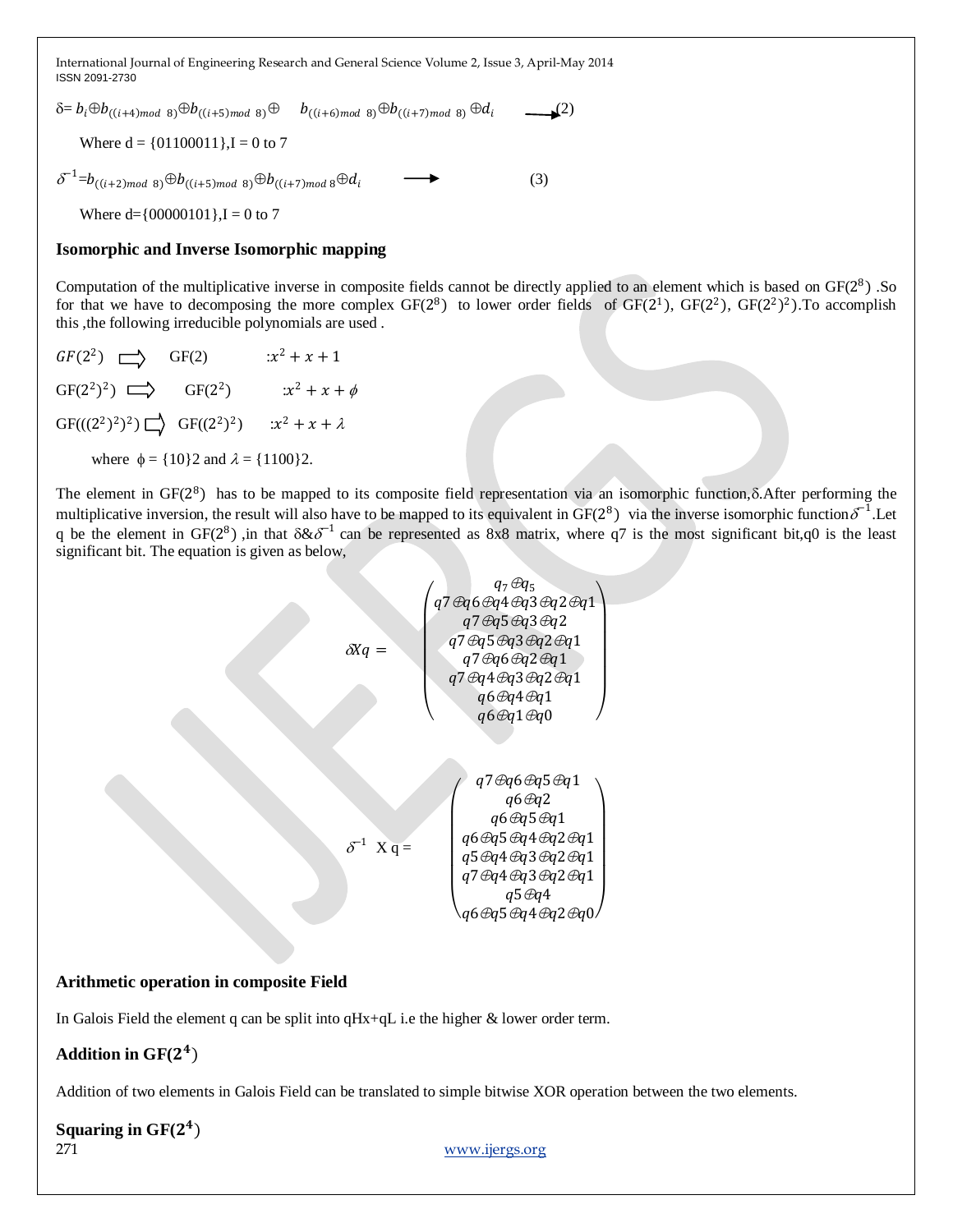$\delta = b_i \oplus b_{((i+4)mod 8)} \oplus b_{((i+5)mod 8)} \oplus b_{((i+6)mod 8)} \oplus b_{((i+7)mod 8)} \oplus d_i$  (2) Where  $d = \{01100011\}$ ,  $I = 0$  to 7  $\delta^{-1}$ = $b_{((i+2)mod 8)}$   $\oplus b_{((i+5)mod 8)}$   $\oplus b_{((i+7)mod 8}$   $\oplus d_i$  (3) Where  $d=$ {00000101},I = 0 to 7

#### **Isomorphic and Inverse Isomorphic mapping**

Computation of the multiplicative inverse in composite fields cannot be directly applied to an element which is based on  $GF(2^8)$ . So for that we have to decomposing the more complex  $GF(2^8)$  to lower order fields of  $GF(2^1)$ ,  $GF(2^2)$ ,  $GF(2^2)^2$ ). To accomplish this ,the following irreducible polynomials are used .

 $GF(2^2) \implies GF(2) \qquad x^2 + x + 1$  $GF(2^2)^2$   $\Longrightarrow$   $GF(2^2)$   $:x^2 + x + \phi$  $GF(((2^2)^2)^2) \square \longrightarrow GF((2^2)^2)$   $:x^2 + x + \lambda$ where  $\phi = \{10\}2$  and  $\lambda = \{1100\}2$ .

The element in  $GF(2^8)$  has to be mapped to its composite field representation via an isomorphic function,  $\delta$ . After performing the multiplicative inversion, the result will also have to be mapped to its equivalent in GF( $2^8$ ) via the inverse isomorphic function  $\delta^{-1}$ . Let q be the element in GF( $2^8$ ), in that  $\delta \& \delta^{-1}$  can be represented as 8x8 matrix, where q7 is the most significant bit,q0 is the least significant bit. The equation is given as below,

$$
\delta Xq = \begin{pmatrix}\n q_7 \oplus q_5 \\
q_7 \oplus q_6 \oplus q_4 \oplus q_3 \oplus q_2 \oplus q_1 \\
q_7 \oplus q_5 \oplus q_3 \oplus q_2 \oplus q_1 \\
q_7 \oplus q_6 \oplus q_2 \oplus q_1 \\
q_7 \oplus q_4 \oplus q_3 \oplus q_2 \oplus q_1 \\
q_6 \oplus q_4 \oplus q_1 \\
q_6 \oplus q_1 \oplus q_0\n\end{pmatrix}
$$
\n
$$
\delta^{-1} X q = \begin{pmatrix}\n q_7 \oplus q_6 \oplus q_5 \oplus q_1 \\
q_6 \oplus q_5 \oplus q_1 \\
q_6 \oplus q_5 \oplus q_4 \oplus q_2 \oplus q_1 \\
q_5 \oplus q_4 \oplus q_3 \oplus q_2 \oplus q_1 \\
q_7 \oplus q_4 \oplus q_3 \oplus q_2 \oplus q_1 \\
q_5 \oplus q_4 \oplus q_3 \oplus q_2 \oplus q_1 \\
q_5 \oplus q_4 \oplus q_3 \oplus q_2 \oplus q_1\n\end{pmatrix}
$$

#### **Arithmetic operation in composite Field**

In Galois Field the element q can be split into qHx+qL i.e the higher & lower order term.

# Addition in GF(2<sup>4</sup>)

Addition of two elements in Galois Field can be translated to simple bitwise XOR operation between the two elements.

## 271 [www.ijergs.org](http://www.ijergs.org/) Squaring in GF(2<sup>4</sup>)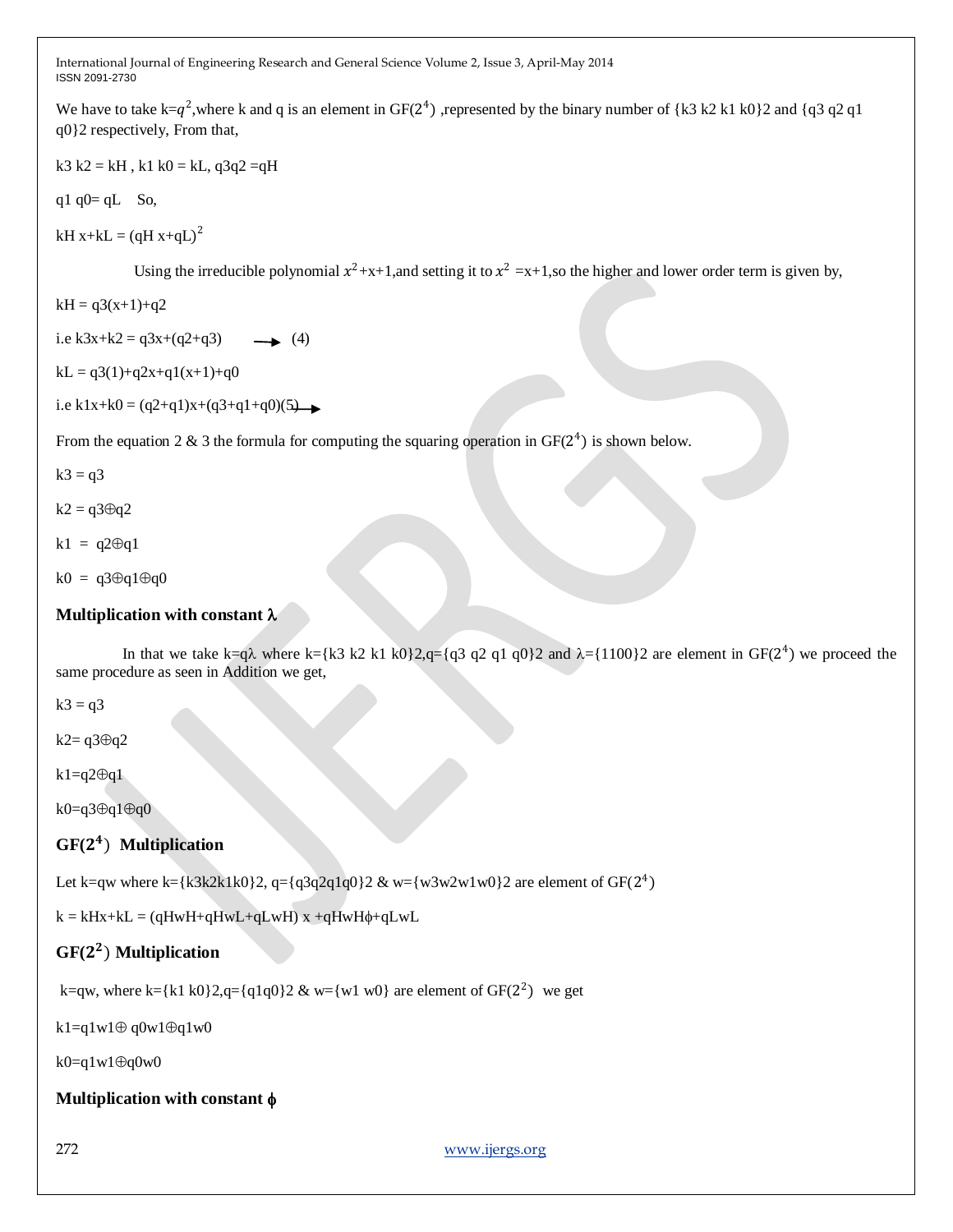We have to take k=q<sup>2</sup>, where k and q is an element in GF( $2^4$ ), represented by the binary number of {k3 k2 k1 k0}2 and {q3 q2 q1} q0}2 respectively, From that,

 $k3 k2 = kH$ ,  $k1 k0 = kL$ ,  $q3q2 = qH$ 

q1  $q0= qL$  So,

kH x+kL =  $(qH x+qL)^2$ 

Using the irreducible polynomial  $x^2+x+1$ , and setting it to  $x^2=x+1$ , so the higher and lower order term is given by,

$$
kH = q3(x+1)+q2
$$

i.e k3x+k2 =  $q3x+(q2+q3)$  (4)

 $kL = q3(1)+q2x+q1(x+1)+q0$ 

i.e k1x+k0 =  $(q2+q1)x+(q3+q1+q0)(5)$ 

From the equation 2 & 3 the formula for computing the squaring operation in  $GF(2^4)$  is shown below.

 $k3 = q3$ 

 $k2 = q3 \oplus q2$ 

 $k1 = q2 \oplus q1$ 

 $k0 = q3 \oplus q1 \oplus q0$ 

# **Multiplication with constant**

In that we take k=q $\lambda$  where k={k3 k2 k1 k0}2,q={q3 q2 q1 q0}2 and  $\lambda$ ={1100}2 are element in GF(2<sup>4</sup>) we proceed the same procedure as seen in Addition we get,

 $k3 = q3$ 

 $k2 = q3 \oplus q2$ 

 $k1=q2\Theta q1$ 

 $k0 = q3 \oplus q1 \oplus q0$ 

# **GF(** ) **Multiplication**

Let k=qw where k={k3k2k1k0}2, q={q3q2q1q0}2 & w={w3w2w1w0}2 are element of GF(2<sup>4</sup>)

 $k = kHx+kL = (qHwH+qHwL+qLwH) x + qHwH+qLwL$ 

# **GF(** ) **Multiplication**

k=qw, where k={k1 k0}2,q={q1q0}2 & w={w1 w0} are element of GF(2<sup>2</sup>) we get

k1=q1w1 $\oplus$ q0w1 $\oplus$ q1w0

 $k0=q1w1\oplus q0w0$ 

**Multiplication with constant** 

272 [www.ijergs.org](http://www.ijergs.org/)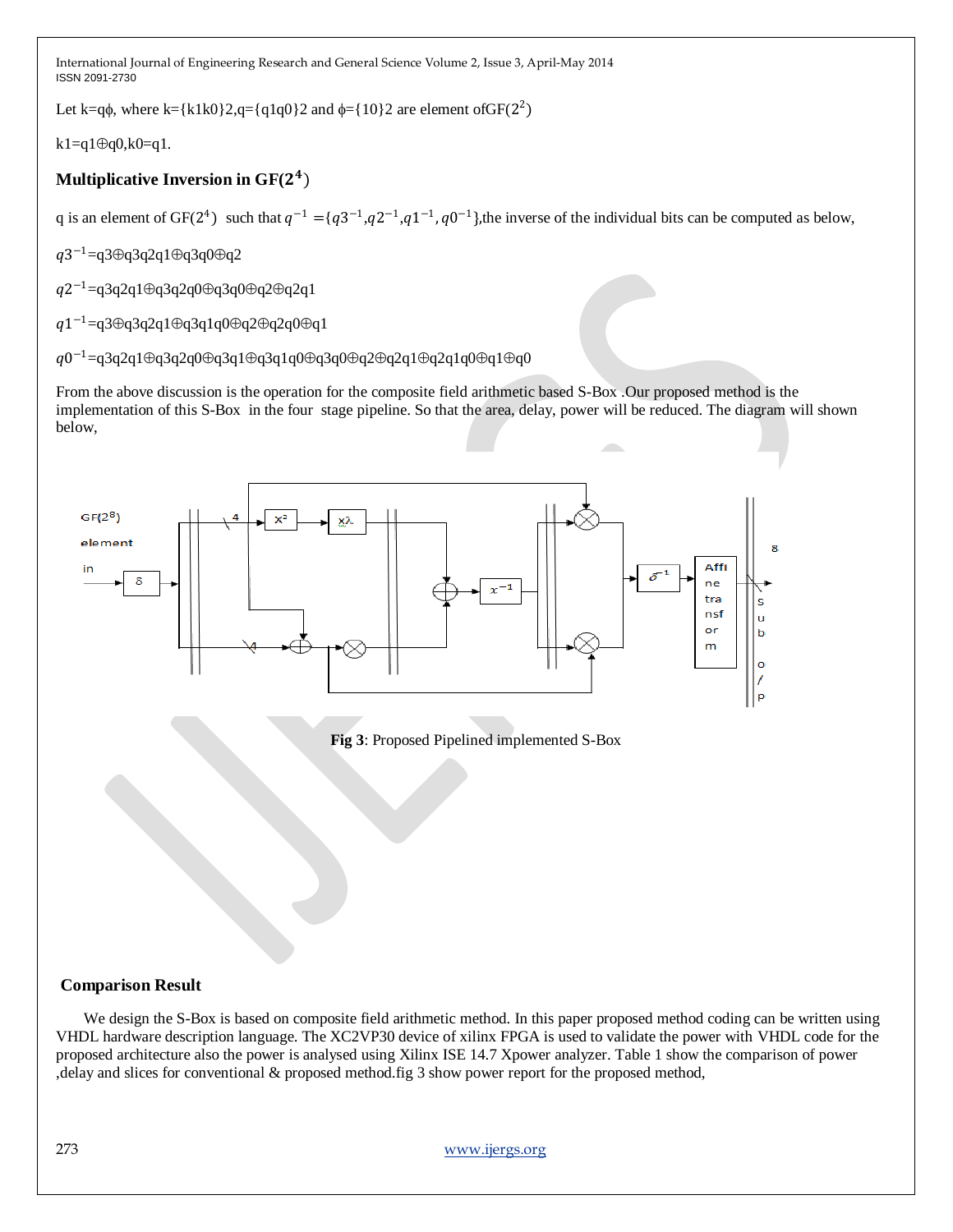Let k=q $\phi$ , where k={k1k0}2,q={q1q0}2 and  $\phi$ ={10}2 are element ofGF(2<sup>2</sup>)

 $k1=q1@q0,k0=q1.$ 

# **Multiplicative Inversion in GF(** )

q is an element of GF(2<sup>4</sup>) such that  $q^{-1} = \{q3^{-1}, q2^{-1}, q1^{-1}, q0^{-1}\}$ , the inverse of the individual bits can be computed as below,

 $q3^{-1}$ =q3⊕q3q2q1⊕q3q0⊕q2

 $q2^{-1}$ =q3q2q1⊕q3q2q0⊕q3q0⊕q2⊕q2q1

 $q1^{-1}$ =q3⊕q3q2q1⊕q3q1q0⊕q2⊕q2q0⊕q1

 $q0^{-1}$ =q3q2q1⊕q3q2q0⊕q3q1⊕q3q1q0⊕q3q0⊕q2⊕q2q1⊕q2q1q0⊕q1⊕q0

From the above discussion is the operation for the composite field arithmetic based S-Box .Our proposed method is the implementation of this S-Box in the four stage pipeline. So that the area, delay, power will be reduced. The diagram will shown below,



**Fig 3**: Proposed Pipelined implemented S-Box

# **Comparison Result**

 We design the S-Box is based on composite field arithmetic method. In this paper proposed method coding can be written using VHDL hardware description language. The XC2VP30 device of xilinx FPGA is used to validate the power with VHDL code for the proposed architecture also the power is analysed using Xilinx ISE 14.7 Xpower analyzer. Table 1 show the comparison of power ,delay and slices for conventional & proposed method.fig 3 show power report for the proposed method,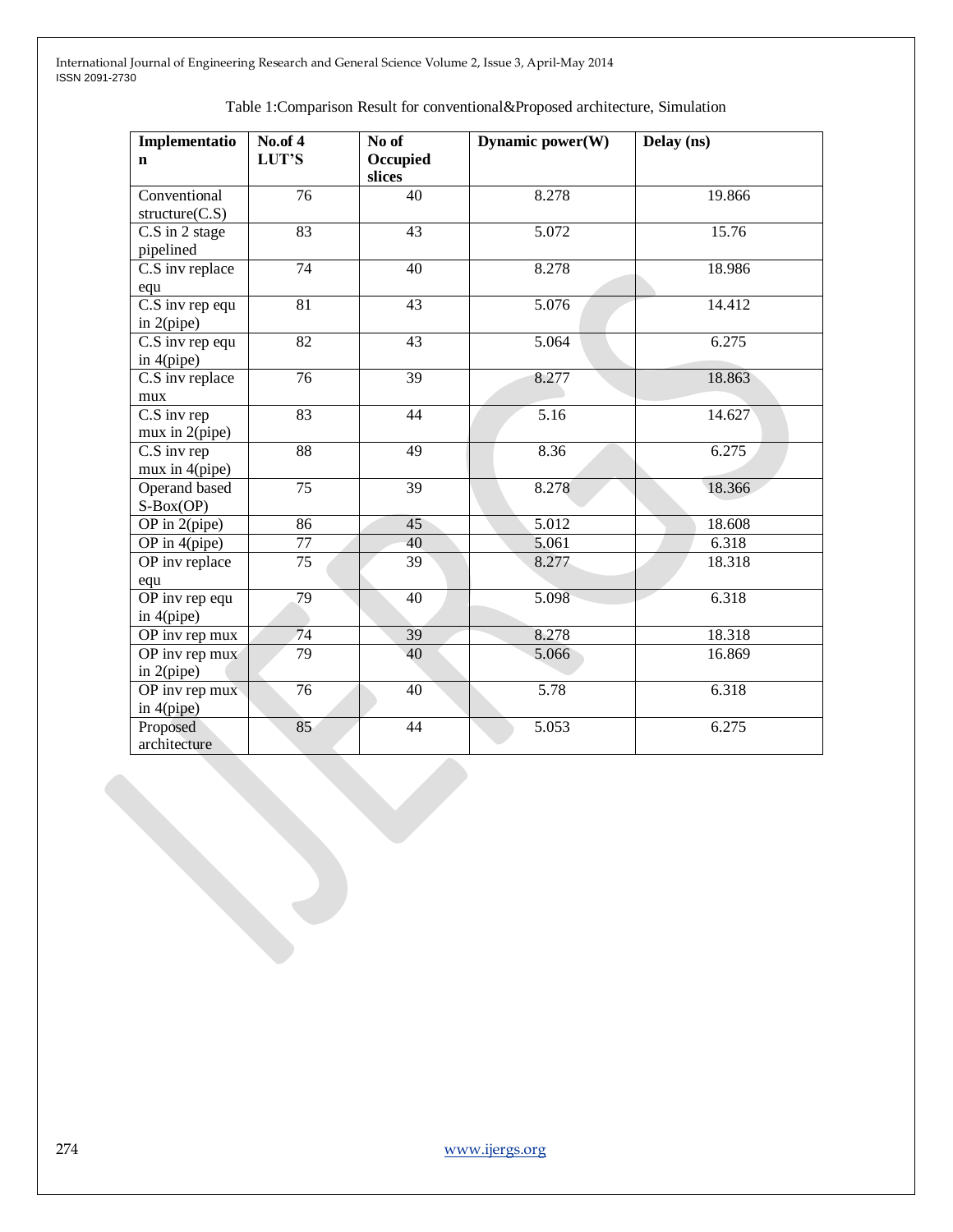| Implementatio                                   | <b>No.of 4</b>  | No of              | Dynamic power(W) | Delay (ns) |
|-------------------------------------------------|-----------------|--------------------|------------------|------------|
| $\mathbf n$                                     | LUT'S           | Occupied<br>slices |                  |            |
| Conventional<br>structure(C.S)                  | 76              | 40                 | 8.278            | 19.866     |
| C.S in 2 stage<br>pipelined                     | 83              | 43                 | 5.072            | 15.76      |
| C.S inv replace<br>equ                          | $\overline{74}$ | 40                 | 8.278            | 18.986     |
| $\overline{C.S}$ inv rep equ<br>in $2$ (pipe)   | $\overline{81}$ | 43                 | 5.076            | 14.412     |
| $\overline{C}$ . S inv rep equ<br>in $4$ (pipe) | $\overline{82}$ | 43                 | 5.064            | 6.275      |
| C.S inv replace<br>mux                          | $\overline{76}$ | $\overline{39}$    | 8.277            | 18.863     |
| C.S inv rep<br>mux in $2$ (pipe)                | 83              | 44                 | 5.16             | 14.627     |
| C.S inv rep<br>mux in 4(pipe)                   | $\overline{88}$ | 49                 | 8.36             | 6.275      |
| Operand based<br>$S-Box(OP)$                    | $\overline{75}$ | $\overline{39}$    | 8.278            | 18.366     |
| OP in $2$ (pipe)                                | 86              | 45                 | 5.012            | 18.608     |
| OP in 4(pipe)                                   | $77 \,$         | 40                 | 5.061            | 6.318      |
| OP inv replace<br>equ                           | 75              | $\overline{39}$    | 8.277            | 18.318     |
| $\overline{OP}$ inv rep equ<br>in $4$ (pipe)    | 79              | 40                 | 5.098            | 6.318      |
| OP inv rep mux                                  | 74              | 39                 | 8.278            | 18.318     |
| OP inv rep mux<br>in $2$ (pipe)                 | $\overline{79}$ | 40                 | 5.066            | 16.869     |
| OP inv rep mux<br>in 4(pipe)                    | $\overline{76}$ | 40                 | 5.78             | 6.318      |
| Proposed<br>architecture                        | 85              | 44                 | 5.053            | 6.275      |

### Table 1:Comparison Result for conventional&Proposed architecture, Simulation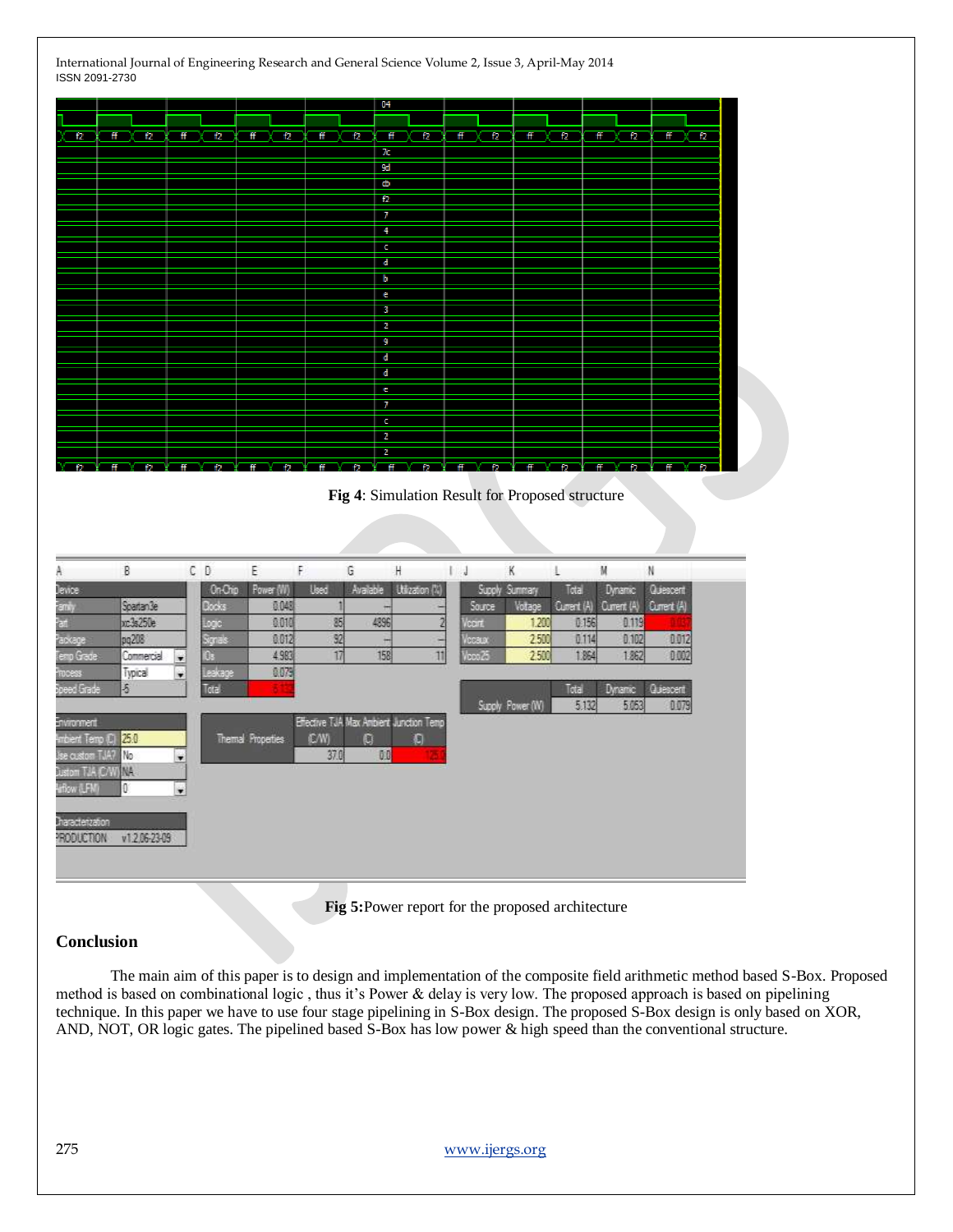|                                                                                                                                                       |                                                                         |                                                      |                                                                 |                                       |                                           |                       |                                       | 04                                                                                                               |                                                         |                                              |                                                        |                                  |                                                                                |                                                                 |    |
|-------------------------------------------------------------------------------------------------------------------------------------------------------|-------------------------------------------------------------------------|------------------------------------------------------|-----------------------------------------------------------------|---------------------------------------|-------------------------------------------|-----------------------|---------------------------------------|------------------------------------------------------------------------------------------------------------------|---------------------------------------------------------|----------------------------------------------|--------------------------------------------------------|----------------------------------|--------------------------------------------------------------------------------|-----------------------------------------------------------------|----|
|                                                                                                                                                       |                                                                         |                                                      |                                                                 |                                       |                                           |                       |                                       |                                                                                                                  |                                                         |                                              |                                                        |                                  |                                                                                |                                                                 |    |
| 12                                                                                                                                                    | f2<br>Ħ                                                                 | ff                                                   | f2                                                              | ff                                    | f2                                        | ff                    | 12                                    | Ħ<br>12                                                                                                          | ff<br>f2                                                | ff                                           | f2                                                     | 任                                | f2                                                                             | 音                                                               | 12 |
|                                                                                                                                                       |                                                                         |                                                      |                                                                 |                                       |                                           |                       |                                       | 70                                                                                                               |                                                         |                                              |                                                        |                                  |                                                                                |                                                                 |    |
|                                                                                                                                                       |                                                                         |                                                      |                                                                 |                                       |                                           |                       |                                       | 9d                                                                                                               |                                                         |                                              |                                                        |                                  |                                                                                |                                                                 |    |
|                                                                                                                                                       |                                                                         |                                                      |                                                                 |                                       |                                           |                       |                                       | ф                                                                                                                |                                                         |                                              |                                                        |                                  |                                                                                |                                                                 |    |
|                                                                                                                                                       |                                                                         |                                                      |                                                                 |                                       |                                           |                       |                                       | 12                                                                                                               |                                                         |                                              |                                                        |                                  |                                                                                |                                                                 |    |
|                                                                                                                                                       |                                                                         |                                                      |                                                                 |                                       |                                           |                       |                                       | 7                                                                                                                |                                                         |                                              |                                                        |                                  |                                                                                |                                                                 |    |
|                                                                                                                                                       |                                                                         |                                                      |                                                                 |                                       |                                           |                       |                                       | 4                                                                                                                |                                                         |                                              |                                                        |                                  |                                                                                |                                                                 |    |
|                                                                                                                                                       |                                                                         |                                                      |                                                                 |                                       |                                           |                       |                                       | c                                                                                                                |                                                         |                                              |                                                        |                                  |                                                                                |                                                                 |    |
|                                                                                                                                                       |                                                                         |                                                      |                                                                 |                                       |                                           |                       |                                       | d                                                                                                                |                                                         |                                              |                                                        |                                  |                                                                                |                                                                 |    |
|                                                                                                                                                       |                                                                         |                                                      |                                                                 |                                       |                                           |                       |                                       | b                                                                                                                |                                                         |                                              |                                                        |                                  |                                                                                |                                                                 |    |
|                                                                                                                                                       |                                                                         |                                                      |                                                                 |                                       |                                           |                       |                                       | e                                                                                                                |                                                         |                                              |                                                        |                                  |                                                                                |                                                                 |    |
|                                                                                                                                                       |                                                                         |                                                      |                                                                 |                                       |                                           |                       |                                       | 3                                                                                                                |                                                         |                                              |                                                        |                                  |                                                                                |                                                                 |    |
|                                                                                                                                                       |                                                                         |                                                      |                                                                 |                                       |                                           |                       |                                       | 2                                                                                                                |                                                         |                                              |                                                        |                                  |                                                                                |                                                                 |    |
|                                                                                                                                                       |                                                                         |                                                      |                                                                 |                                       |                                           |                       |                                       | 9                                                                                                                |                                                         |                                              |                                                        |                                  |                                                                                |                                                                 |    |
|                                                                                                                                                       |                                                                         |                                                      |                                                                 |                                       |                                           |                       |                                       | ď                                                                                                                |                                                         |                                              |                                                        |                                  |                                                                                |                                                                 |    |
|                                                                                                                                                       |                                                                         |                                                      |                                                                 |                                       |                                           |                       |                                       | d                                                                                                                |                                                         |                                              |                                                        |                                  |                                                                                |                                                                 |    |
|                                                                                                                                                       |                                                                         |                                                      |                                                                 |                                       |                                           |                       |                                       | e                                                                                                                |                                                         |                                              |                                                        |                                  |                                                                                |                                                                 |    |
|                                                                                                                                                       |                                                                         |                                                      |                                                                 |                                       |                                           |                       |                                       | 7                                                                                                                |                                                         |                                              |                                                        |                                  |                                                                                |                                                                 |    |
|                                                                                                                                                       |                                                                         |                                                      |                                                                 |                                       |                                           |                       |                                       | c                                                                                                                |                                                         |                                              |                                                        |                                  |                                                                                |                                                                 |    |
|                                                                                                                                                       |                                                                         |                                                      |                                                                 |                                       |                                           |                       |                                       | $\overline{2}$                                                                                                   |                                                         |                                              |                                                        |                                  |                                                                                |                                                                 |    |
|                                                                                                                                                       |                                                                         |                                                      |                                                                 |                                       |                                           |                       |                                       | 2                                                                                                                |                                                         |                                              |                                                        |                                  |                                                                                |                                                                 |    |
|                                                                                                                                                       |                                                                         |                                                      |                                                                 |                                       |                                           |                       |                                       | Fig 4: Simulation Result for Proposed structure                                                                  |                                                         |                                              |                                                        |                                  |                                                                                |                                                                 |    |
|                                                                                                                                                       |                                                                         |                                                      |                                                                 |                                       |                                           |                       |                                       |                                                                                                                  |                                                         |                                              |                                                        |                                  |                                                                                |                                                                 |    |
|                                                                                                                                                       | B                                                                       | C <sub>0</sub>                                       |                                                                 | Ε                                     | F                                         |                       | G                                     | H                                                                                                                | 1.1                                                     | K                                            | Ŀ                                                      | M                                |                                                                                | N                                                               |    |
| A<br>Jewice<br>E(1, y)<br>a.<br>ackage<br>Grade<br>d Grade<br>vacement<br>rbent Temp (C) 25.0<br>e custom TJA7<br>TJA C/WINA<br>清月<br>haracterization | Spartan3e<br>uc3s250e<br>pg208<br>Commercial<br>Typical<br>5<br>No<br>O | $\blacksquare$<br>۰<br>×<br>$\overline{\phantom{a}}$ | On-Chip<br>Clocks<br>logic<br>Signals<br>O.<br>Leakage<br>Total | Power (W)<br><b>Themal Properties</b> | 0.048<br>0.010<br>0.012<br>4.983<br>0.079 | Used<br>(C/W)<br>37.0 | Available<br>n<br>85<br>92<br>17<br>G | Utization (%)<br>4896<br>田<br>۰<br>158<br>$\overline{11}$<br>Effective TJA Max Ambient Junction Temp<br>Đ<br>0.0 | Source<br>$\overline{2}$<br>Vocint.<br>Vccaat<br>loos25 | Supply Summary<br>Votage<br>Supply Power (W) | Total<br>Current (A)<br>1.200<br>2500<br>2500<br>Total | 0.156<br>0.114<br>1.864<br>5.132 | Dynamic<br>Current (A)<br>0.119<br>0.102<br>1.862<br><b>Dynamic</b><br>5 0 5 3 | Quiescent<br>Current (A)<br>0012<br>0.002<br>Quiescent<br>0.079 |    |

**Fig 5:**Power report for the proposed architecture

#### **Conclusion**

 The main aim of this paper is to design and implementation of the composite field arithmetic method based S-Box. Proposed method is based on combinational logic , thus it's Power & delay is very low. The proposed approach is based on pipelining technique. In this paper we have to use four stage pipelining in S-Box design. The proposed S-Box design is only based on XOR, AND, NOT, OR logic gates. The pipelined based S-Box has low power & high speed than the conventional structure.